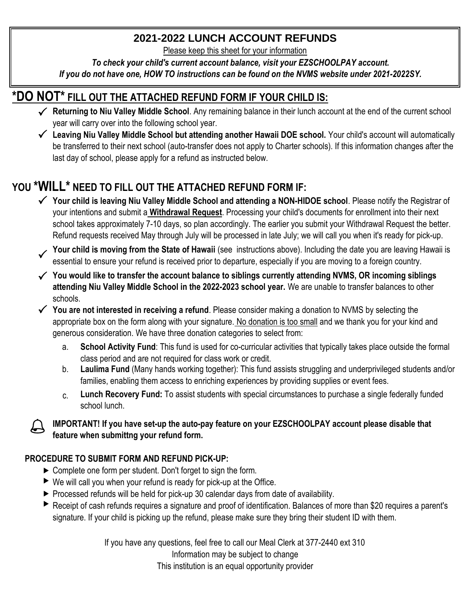### **2021-2022 LUNCH ACCOUNT REFUNDS**

Please keep this sheet for your information

*To check your child's current account balance, visit your EZSCHOOLPAY account.* 

*If you do not have one, HOW TO instructions can be found on the NVMS website under 2021-2022SY.* 

## **\*DO NOT\* FILL OUT THE ATTACHED REFUND FORM IF YOUR CHILD IS:**

- ◆ **Returning to Niu Valley Middle School**. Any remaining balance in their lunch account at the end of the current school year will carry over into the following school year.
- P **Leaving Niu Valley Middle School but attending another Hawaii DOE school.** Your child's account will automatically be transferred to their next school (auto-transfer does not apply to Charter schools). If this information changes after the last day of school, please apply for a refund as instructed below.

## **YOU \*WILL\* NEED TO FILL OUT THE ATTACHED REFUND FORM IF:**

- ◆ Your child is leaving Niu Valley Middle School and attending a NON-HIDOE school. Please notify the Registrar of your intentions and submit a **Withdrawal Request**. Processing your child's documents for enrollment into their next school takes approximately 7-10 days, so plan accordingly. The earlier you submit your Withdrawal Request the better. Refund requests received May through July will be processed in late July; we will call you when it's ready for pick-up.
- Your child is moving from the State of Hawaii (see instructions above). Including the date you are leaving Hawaii is essential to ensure your refund is received prior to departure, especially if you are moving to a foreign
- ◆ You would like to transfer the account balance to siblings currently attending NVMS, OR incoming siblings **attending Niu Valley Middle School in the 2022-2023 school year.** We are unable to transfer balances to other schools.
- ◆ You are not interested in receiving a refund. Please consider making a donation to NVMS by selecting the appropriate box on the form along with your signature. No donation is too small and we thank you for your kind and generous consideration. We have three donation categories to select from:
	- a. **School Activity Fund**: This fund is used for co-curricular activities that typically takes place outside the formal class period and are not required for class work or credit.
	- b. **Laulima Fund** (Many hands working together): This fund assists struggling and underprivileged students and/or families, enabling them access to enriching experiences by providing supplies or event fees.
	- c. **Lunch Recovery Fund:** To assist students with special circumstances to purchase a single federally funded school lunch.

#### **IMPORTANT!** If you have set-up the auto-pay feature on your EZSCHOOLPAY account please disable that **feature when submittng your refund form.**

### **PROCEDURE TO SUBMIT FORM AND REFUND PICK-UP:**

- $\triangleright$  Complete one form per student. Don't forget to sign the form.
- $\blacktriangleright$  We will call you when your refund is ready for pick-up at the Office.
- $\blacktriangleright$  Processed refunds will be held for pick-up 30 calendar days from date of availability.
- Receipt of cash refunds requires a signature and proof of identification. Balances of more than \$20 requires a parent's signature. If your child is picking up the refund, please make sure they bring their student ID with them.

If you have any questions, feel free to call our Meal Clerk at 377-2440 ext 310 Information may be subject to change This institution is an equal opportunity provider